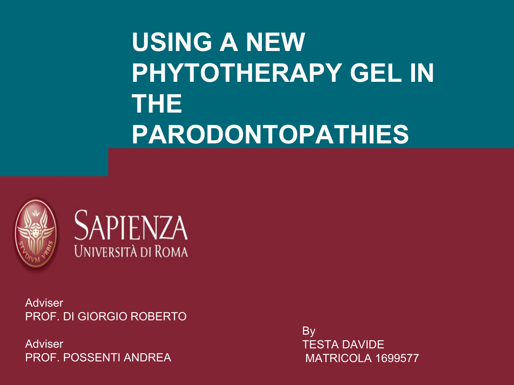# **USING A NEW PHYTOTHERAPY GEL IN THE PARODONTOPATHIES**





Adviser PROF. DI GIORGIO ROBERTO

Adviser PROF. POSSENTI ANDREA By TESTA DAVIDE MATRICOLA 1699577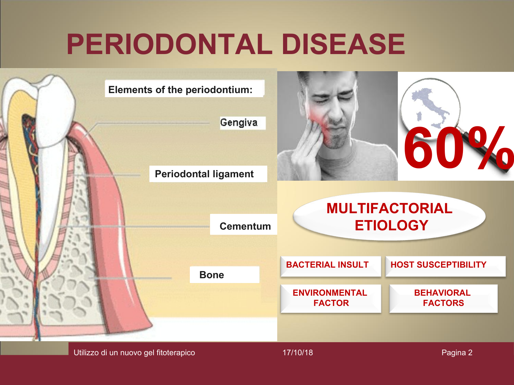# **PERIODONTAL DISEASE**

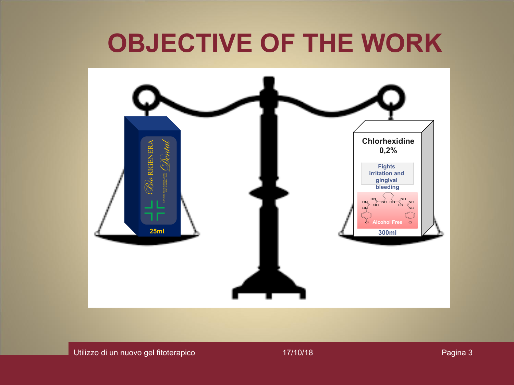# **OBJECTIVE OF THE WORK**

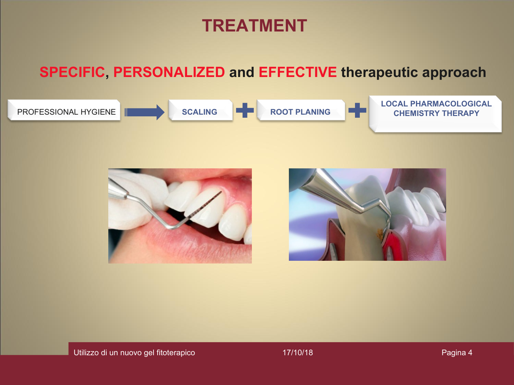## **TREATMENT**

### **SPECIFIC, PERSONALIZED and EFFECTIVE therapeutic approach**



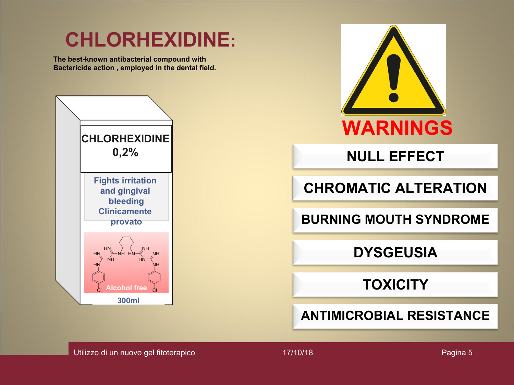## **CHLORHEXIDINE:**

**The best-known antibacterial compound with Bactericide action , employed in the dental field.** 





Utilizzo di un nuovo gel fitoterapico e chiesa di 17/10/18 e chiesa di 17/10/18 Pagina 5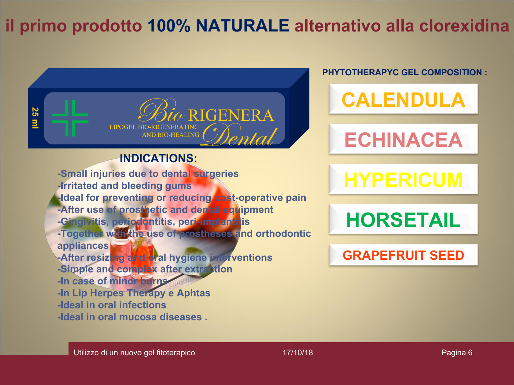## **il primo prodotto 100% NATURALE alternativo alla clorexidina**



#### **PHYTOTHERAPYC GEL COMPOSITION :**

**CALENDULA**

# **ECHINACEA**

# **HYPERICUM**

**HORSETAIL**

#### **GRAPEFRUIT SEED**

Utilizzo di un nuovo gel fitoterapico e chiesa di 17/10/18 e chiesa di 17/10/18 Pagina 6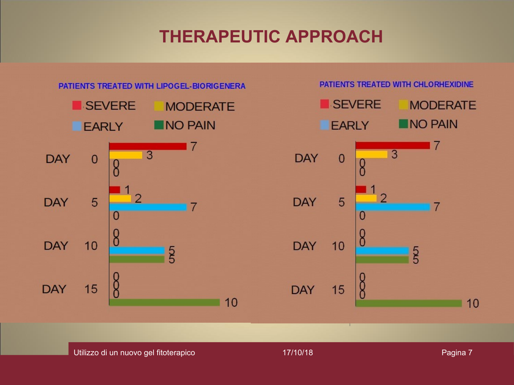## **THERAPEUTIC APPROACH**